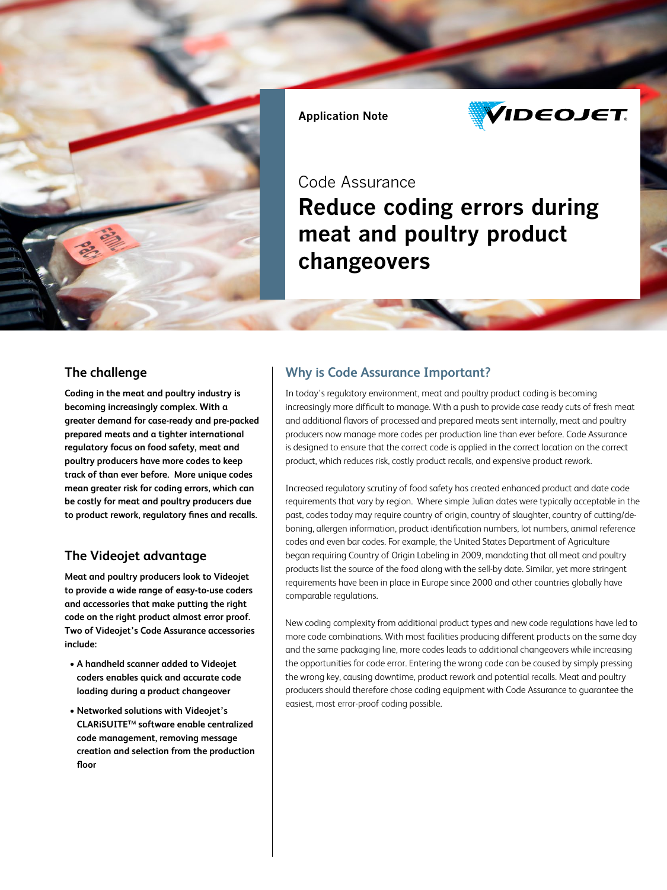

Application Note



## Code Assurance

# Reduce coding errors during meat and poultry product changeovers

### **The challenge**

**Coding in the meat and poultry industry is becoming increasingly complex. With a greater demand for case-ready and pre-packed prepared meats and a tighter international regulatory focus on food safety, meat and poultry producers have more codes to keep track of than ever before. More unique codes mean greater risk for coding errors, which can be costly for meat and poultry producers due to product rework, regulatory fines and recalls.** 

### **The Videojet advantage**

**Meat and poultry producers look to Videojet to provide a wide range of easy-to-use coders and accessories that make putting the right code on the right product almost error proof. Two of Videojet's Code Assurance accessories include:**

- **A handheld scanner added to Videojet coders enables quick and accurate code loading during a product changeover**
- **Networked solutions with Videojet's CLARiSUITETM software enable centralized code management, removing message creation and selection from the production floor**

### **Why is Code Assurance Important?**

In today's regulatory environment, meat and poultry product coding is becoming increasingly more difficult to manage. With a push to provide case ready cuts of fresh meat and additional flavors of processed and prepared meats sent internally, meat and poultry producers now manage more codes per production line than ever before. Code Assurance is designed to ensure that the correct code is applied in the correct location on the correct product, which reduces risk, costly product recalls, and expensive product rework.

Increased regulatory scrutiny of food safety has created enhanced product and date code requirements that vary by region. Where simple Julian dates were typically acceptable in the past, codes today may require country of origin, country of slaughter, country of cutting/deboning, allergen information, product identification numbers, lot numbers, animal reference codes and even bar codes. For example, the United States Department of Agriculture began requiring Country of Origin Labeling in 2009, mandating that all meat and poultry products list the source of the food along with the sell-by date. Similar, yet more stringent requirements have been in place in Europe since 2000 and other countries globally have comparable regulations.

New coding complexity from additional product types and new code regulations have led to more code combinations. With most facilities producing different products on the same day and the same packaging line, more codes leads to additional changeovers while increasing the opportunities for code error. Entering the wrong code can be caused by simply pressing the wrong key, causing downtime, product rework and potential recalls. Meat and poultry producers should therefore chose coding equipment with Code Assurance to guarantee the easiest, most error-proof coding possible.